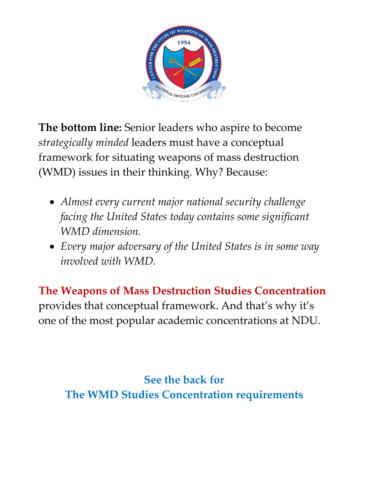

**The bottom line:** Senior leaders who aspire to become *strategically minded* leaders must have a conceptual framework for situating weapons of mass destruction (WMD) issues in their thinking. Why? Because:

- *Almost every current major national security challenge facing the United States today contains some significant WMD dimension.*
- *Every major adversary of the United States is in some way involved with WMD.*

**The Weapons of Mass Destruction Studies Concentration** provides that conceptual framework. And that's why it's one of the most popular academic concentrations at NDU.

**See the back for The WMD Studies Concentration requirements**